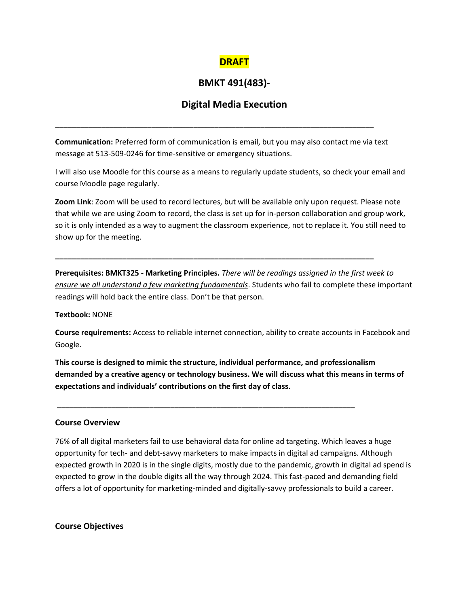## **DRAFT**

# **BMKT 491(483)-**

## **Digital Media Execution**

**Communication:** Preferred form of communication is email, but you may also contact me via text message at 513-509-0246 for time-sensitive or emergency situations.

**\_\_\_\_\_\_\_\_\_\_\_\_\_\_\_\_\_\_\_\_\_\_\_\_\_\_\_\_\_\_\_\_\_\_\_\_\_\_\_\_\_\_\_\_\_\_\_\_\_\_\_\_\_\_\_\_\_\_\_\_\_\_\_\_\_\_\_\_\_\_\_\_\_\_\_\_**

I will also use Moodle for this course as a means to regularly update students, so check your email and course Moodle page regularly.

**Zoom Link**: Zoom will be used to record lectures, but will be available only upon request. Please note that while we are using Zoom to record, the class is set up for in-person collaboration and group work, so it is only intended as a way to augment the classroom experience, not to replace it. You still need to show up for the meeting.

**\_\_\_\_\_\_\_\_\_\_\_\_\_\_\_\_\_\_\_\_\_\_\_\_\_\_\_\_\_\_\_\_\_\_\_\_\_\_\_\_\_\_\_\_\_\_\_\_\_\_\_\_\_\_\_\_\_\_\_\_\_\_\_\_\_\_\_\_\_\_\_\_\_\_\_\_**

**Prerequisites: BMKT325 - Marketing Principles.** *There will be readings assigned in the first week to ensure we all understand a few marketing fundamentals*. Students who fail to complete these important readings will hold back the entire class. Don't be that person.

#### **Textbook:** NONE

**Course requirements:** Access to reliable internet connection, ability to create accounts in Facebook and Google.

**This course is designed to mimic the structure, individual performance, and professionalism demanded by a creative agency or technology business. We will discuss what this means in terms of expectations and individuals' contributions on the first day of class.**

**\_\_\_\_\_\_\_\_\_\_\_\_\_\_\_\_\_\_\_\_\_\_\_\_\_\_\_\_\_\_\_\_\_\_\_\_\_\_\_\_\_\_\_\_\_\_\_\_\_\_\_\_\_\_\_\_\_\_\_\_\_\_\_\_\_\_\_\_\_\_\_**

#### **Course Overview**

76% of all digital marketers fail to use behavioral data for online ad targeting. Which leaves a huge opportunity for tech- and debt-savvy marketers to make impacts in digital ad campaigns. Although expected growth in 2020 is in the single digits, mostly due to the pandemic, growth in digital ad spend is expected to grow in the double digits all the way through 2024. This fast-paced and demanding field offers a lot of opportunity for marketing-minded and digitally-savvy professionals to build a career.

#### **Course Objectives**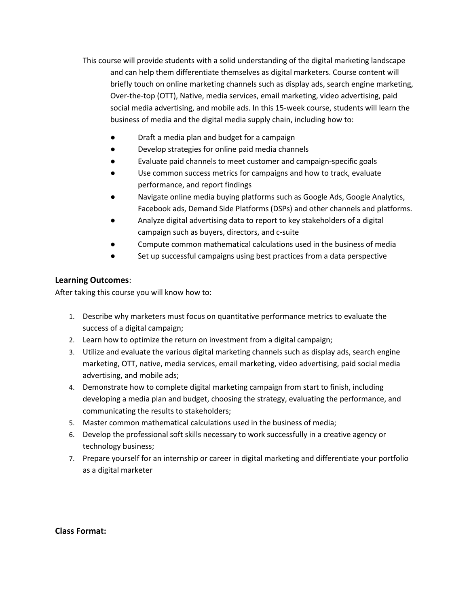This course will provide students with a solid understanding of the digital marketing landscape and can help them differentiate themselves as digital marketers. Course content will briefly touch on online marketing channels such as display ads, search engine marketing, Over-the-top (OTT), Native, media services, email marketing, video advertising, paid social media advertising, and mobile ads. In this 15-week course, students will learn the business of media and the digital media supply chain, including how to:

- Draft a media plan and budget for a campaign
- Develop strategies for online paid media channels
- Evaluate paid channels to meet customer and campaign-specific goals
- Use common success metrics for campaigns and how to track, evaluate performance, and report findings
- Navigate online media buying platforms such as Google Ads, Google Analytics, Facebook ads, Demand Side Platforms (DSPs) and other channels and platforms.
- Analyze digital advertising data to report to key stakeholders of a digital campaign such as buyers, directors, and c-suite
- Compute common mathematical calculations used in the business of media
- Set up successful campaigns using best practices from a data perspective

### **Learning Outcomes**:

After taking this course you will know how to:

- 1. Describe why marketers must focus on quantitative performance metrics to evaluate the success of a digital campaign;
- 2. Learn how to optimize the return on investment from a digital campaign;
- 3. Utilize and evaluate the various digital marketing channels such as display ads, search engine marketing, OTT, native, media services, email marketing, video advertising, paid social media advertising, and mobile ads;
- 4. Demonstrate how to complete digital marketing campaign from start to finish, including developing a media plan and budget, choosing the strategy, evaluating the performance, and communicating the results to stakeholders;
- 5. Master common mathematical calculations used in the business of media;
- 6. Develop the professional soft skills necessary to work successfully in a creative agency or technology business;
- 7. Prepare yourself for an internship or career in digital marketing and differentiate your portfolio as a digital marketer

**Class Format:**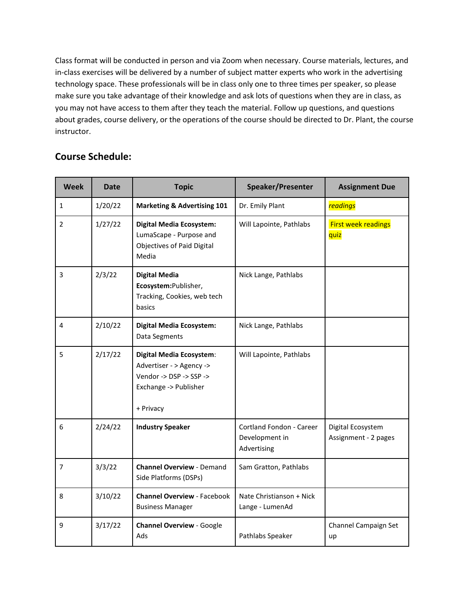Class format will be conducted in person and via Zoom when necessary. Course materials, lectures, and in-class exercises will be delivered by a number of subject matter experts who work in the advertising technology space. These professionals will be in class only one to three times per speaker, so please make sure you take advantage of their knowledge and ask lots of questions when they are in class, as you may not have access to them after they teach the material. Follow up questions, and questions about grades, course delivery, or the operations of the course should be directed to Dr. Plant, the course instructor.

# **Course Schedule:**

| <b>Week</b>    | <b>Date</b> | <b>Topic</b>                                                                                                                 | Speaker/Presenter                                         | <b>Assignment Due</b>                     |
|----------------|-------------|------------------------------------------------------------------------------------------------------------------------------|-----------------------------------------------------------|-------------------------------------------|
| $\mathbf{1}$   | 1/20/22     | <b>Marketing &amp; Advertising 101</b>                                                                                       | Dr. Emily Plant                                           | <b>readings</b>                           |
| $\overline{2}$ | 1/27/22     | <b>Digital Media Ecosystem:</b><br>LumaScape - Purpose and<br>Objectives of Paid Digital<br>Media                            | Will Lapointe, Pathlabs                                   | <b>First week readings</b><br>quiz        |
| 3              | 2/3/22      | <b>Digital Media</b><br>Ecosystem:Publisher,<br>Tracking, Cookies, web tech<br>basics                                        | Nick Lange, Pathlabs                                      |                                           |
| 4              | 2/10/22     | <b>Digital Media Ecosystem:</b><br>Data Segments                                                                             | Nick Lange, Pathlabs                                      |                                           |
| 5              | 2/17/22     | <b>Digital Media Ecosystem:</b><br>Advertiser - > Agency -><br>Vendor -> DSP -> SSP -><br>Exchange -> Publisher<br>+ Privacy | Will Lapointe, Pathlabs                                   |                                           |
| 6              | 2/24/22     | <b>Industry Speaker</b>                                                                                                      | Cortland Fondon - Career<br>Development in<br>Advertising | Digital Ecosystem<br>Assignment - 2 pages |
| 7              | 3/3/22      | <b>Channel Overview - Demand</b><br>Side Platforms (DSPs)                                                                    | Sam Gratton, Pathlabs                                     |                                           |
| 8              | 3/10/22     | <b>Channel Overview - Facebook</b><br><b>Business Manager</b>                                                                | Nate Christianson + Nick<br>Lange - LumenAd               |                                           |
| 9              | 3/17/22     | <b>Channel Overview - Google</b><br>Ads                                                                                      | Pathlabs Speaker                                          | Channel Campaign Set<br>up                |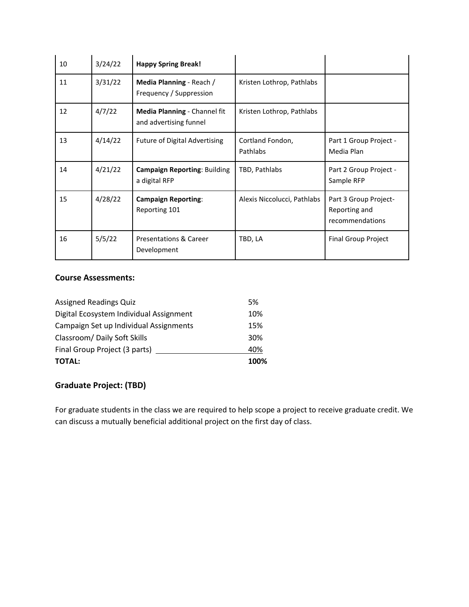| 10 | 3/24/22 | <b>Happy Spring Break!</b>                             |                              |                                                           |
|----|---------|--------------------------------------------------------|------------------------------|-----------------------------------------------------------|
| 11 | 3/31/22 | Media Planning - Reach /<br>Frequency / Suppression    | Kristen Lothrop, Pathlabs    |                                                           |
| 12 | 4/7/22  | Media Planning - Channel fit<br>and advertising funnel | Kristen Lothrop, Pathlabs    |                                                           |
| 13 | 4/14/22 | <b>Future of Digital Advertising</b>                   | Cortland Fondon,<br>Pathlabs | Part 1 Group Project -<br>Media Plan                      |
| 14 | 4/21/22 | <b>Campaign Reporting: Building</b><br>a digital RFP   | TBD, Pathlabs                | Part 2 Group Project -<br>Sample RFP                      |
| 15 | 4/28/22 | <b>Campaign Reporting:</b><br>Reporting 101            | Alexis Niccolucci, Pathlabs  | Part 3 Group Project-<br>Reporting and<br>recommendations |
| 16 | 5/5/22  | <b>Presentations &amp; Career</b><br>Development       | TBD, LA                      | <b>Final Group Project</b>                                |

## **Course Assessments:**

| <b>TOTAL:</b>                           | 100% |
|-----------------------------------------|------|
| Final Group Project (3 parts)           | 40%  |
| Classroom/ Daily Soft Skills            | 30%  |
| Campaign Set up Individual Assignments  | 15%  |
| Digital Ecosystem Individual Assignment | 10%  |
| <b>Assigned Readings Quiz</b>           | 5%   |

## **Graduate Project: (TBD)**

For graduate students in the class we are required to help scope a project to receive graduate credit. We can discuss a mutually beneficial additional project on the first day of class.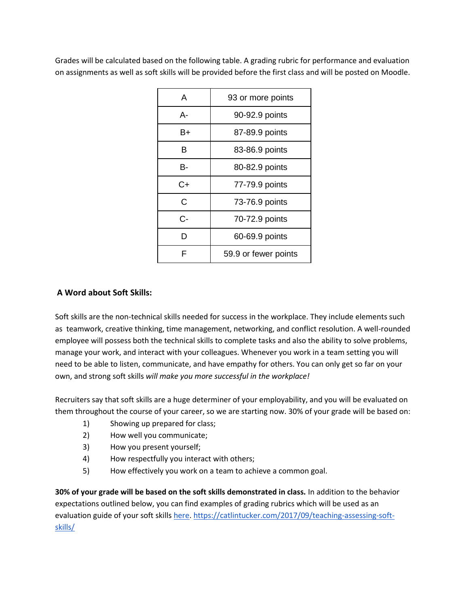Grades will be calculated based on the following table. A grading rubric for performance and evaluation on assignments as well as soft skills will be provided before the first class and will be posted on Moodle.

| A  | 93 or more points    |
|----|----------------------|
| А- | 90-92.9 points       |
| B+ | 87-89.9 points       |
| в  | 83-86.9 points       |
| в- | 80-82.9 points       |
| C+ | 77-79.9 points       |
| C  | 73-76.9 points       |
| C- | 70-72.9 points       |
| D  | 60-69.9 points       |
| F  | 59.9 or fewer points |

## **A Word about Soft Skills:**

Soft skills are the non-technical skills needed for success in the workplace. They include elements such as teamwork, creative thinking, time management, networking, and conflict resolution. A well-rounded employee will possess both the technical skills to complete tasks and also the ability to solve problems, manage your work, and interact with your colleagues. Whenever you work in a team setting you will need to be able to listen, communicate, and have empathy for others. You can only get so far on your own, and strong soft skills *will make you more successful in the workplace!*

Recruiters say that soft skills are a huge determiner of your employability, and you will be evaluated on them throughout the course of your career, so we are starting now. 30% of your grade will be based on:

- 1) Showing up prepared for class;
- 2) How well you communicate;
- 3) How you present yourself;
- 4) How respectfully you interact with others;
- 5) How effectively you work on a team to achieve a common goal.

**30% of your grade will be based on the soft skills demonstrated in class.** In addition to the behavior expectations outlined below, you can find examples of grading rubrics which will be used as an evaluation guide of your soft skill[s here. https://catlintucker.com/2017/09/teaching-assessing-soft](https://catlintucker.com/2017/09/teaching-assessing-soft-skills/)[skills/](https://catlintucker.com/2017/09/teaching-assessing-soft-skills/)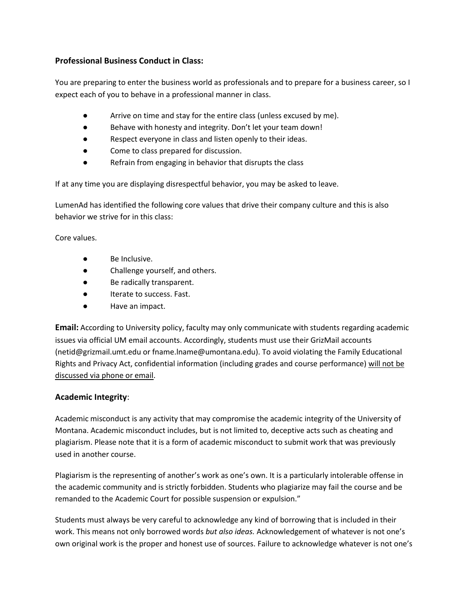### **Professional Business Conduct in Class:**

You are preparing to enter the business world as professionals and to prepare for a business career, so I expect each of you to behave in a professional manner in class.

- Arrive on time and stay for the entire class (unless excused by me).
- Behave with honesty and integrity. Don't let your team down!
- Respect everyone in class and listen openly to their ideas.
- Come to class prepared for discussion.
- Refrain from engaging in behavior that disrupts the class

If at any time you are displaying disrespectful behavior, you may be asked to leave.

LumenAd has identified the following core values that drive their company culture and this is also behavior we strive for in this class:

Core values.

- Be Inclusive.
- Challenge yourself, and others.
- Be radically transparent.
- Iterate to success. Fast.
- Have an impact.

**Email:** According to University policy, faculty may only communicate with students regarding academic issues via official UM email accounts. Accordingly, students must use their GrizMail accounts (netid@grizmail.umt.edu or fname.lname@umontana.edu). To avoid violating the Family Educational Rights and Privacy Act, confidential information (including grades and course performance) will not be discussed via phone or email.

### **Academic Integrity**:

Academic misconduct is any activity that may compromise the academic integrity of the University of Montana. Academic misconduct includes, but is not limited to, deceptive acts such as cheating and plagiarism. Please note that it is a form of academic misconduct to submit work that was previously used in another course.

Plagiarism is the representing of another's work as one's own. It is a particularly intolerable offense in the academic community and is strictly forbidden. Students who plagiarize may fail the course and be remanded to the Academic Court for possible suspension or expulsion."

Students must always be very careful to acknowledge any kind of borrowing that is included in their work. This means not only borrowed words *but also ideas.* Acknowledgement of whatever is not one's own original work is the proper and honest use of sources. Failure to acknowledge whatever is not one's